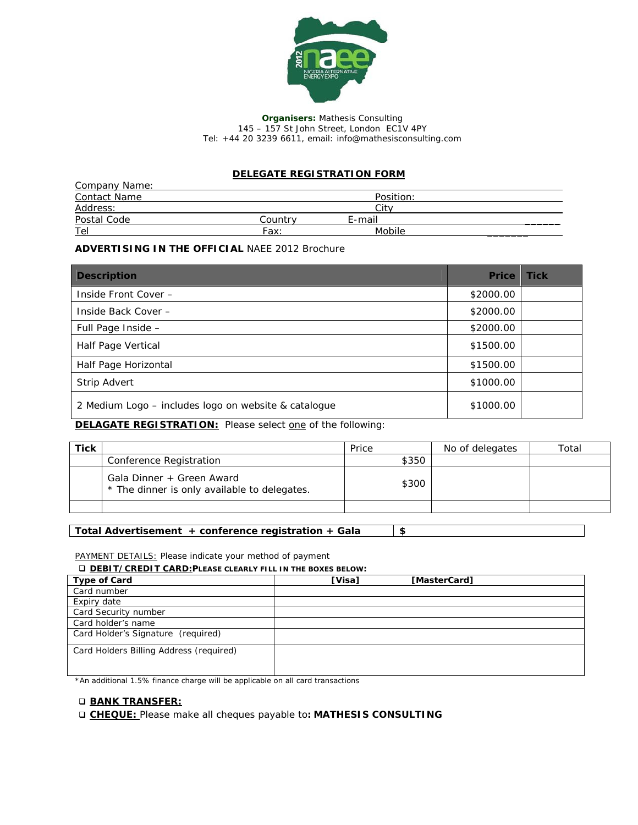

**Organisers:** Mathesis Consulting 145 – 157 St John Street, London EC1V 4PY Tel: +44 20 3239 6611, email: info*@mathesisconsulting.com*

## **DELEGATE REGISTRATION FORM**

| <b>Company Name:</b> |         |           |  |
|----------------------|---------|-----------|--|
| <b>Contact Name</b>  |         | Position: |  |
| Address:             |         | Cit       |  |
| Postal Code          | Countrv | E-mail    |  |
| Tel                  | Fax:    | Mobile    |  |

## **ADVERTISING IN THE OFFICIAL** NAEE 2012 Brochure

| <b>Description</b>                                   | <b>Price</b> | <b>Tick</b> |
|------------------------------------------------------|--------------|-------------|
| Inside Front Cover -                                 | \$2000.00    |             |
| Inside Back Cover -                                  | \$2000.00    |             |
| Full Page Inside -                                   | \$2000.00    |             |
| Half Page Vertical                                   | \$1500.00    |             |
| Half Page Horizontal                                 | \$1500.00    |             |
| <b>Strip Advert</b>                                  | \$1000.00    |             |
| 2 Medium Logo – includes logo on website & catalogue | \$1000.00    |             |

**DELAGATE REGISTRATION:** Please select one of the following:

| <b>Tick</b> |                                                                           | Price | No of delegates | Total |
|-------------|---------------------------------------------------------------------------|-------|-----------------|-------|
|             | Conference Registration                                                   | \$350 |                 |       |
|             | Gala Dinner + Green Award<br>* The dinner is only available to delegates. | \$300 |                 |       |
|             |                                                                           |       |                 |       |

**Total Advertisement + conference registration + Gala \$** 

*PAYMENT DETAILS: Please indicate your method of payment* 

**DEBIT/CREDIT CARD:PLEASE CLEARLY FILL IN THE BOXES BELOW:**

| <b>Type of Card</b>                     | [Visa] | [MasterCard] |  |
|-----------------------------------------|--------|--------------|--|
| Card number                             |        |              |  |
| Expiry date                             |        |              |  |
| Card Security number                    |        |              |  |
| Card holder's name                      |        |              |  |
| Card Holder's Signature (required)      |        |              |  |
| Card Holders Billing Address (required) |        |              |  |
|                                         |        |              |  |

*\*An additional 1.5% finance charge will be applicable on all card transactions* 

## **BANK TRANSFER:**

**CHEQUE:** Please make all cheques payable to**: MATHESIS CONSULTING**